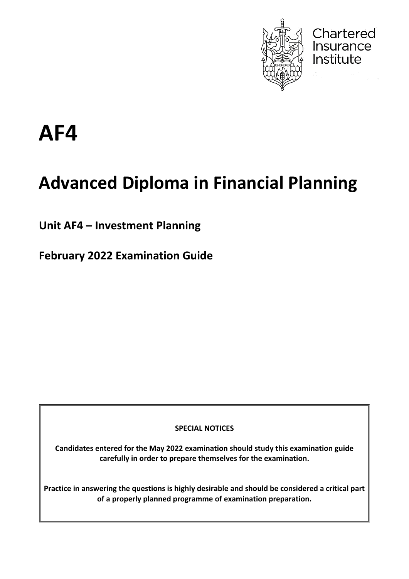

Chartered<br>Insurance

Institute

# **AF4**

# **Advanced Diploma in Financial Planning**

**Unit AF4 – Investment Planning**

**February 2022 Examination Guide**

**SPECIAL NOTICES**

**Candidates entered for the May 2022 examination should study this examination guide carefully in order to prepare themselves for the examination.**

**Practice in answering the questions is highly desirable and should be considered a critical part of a properly planned programme of examination preparation.**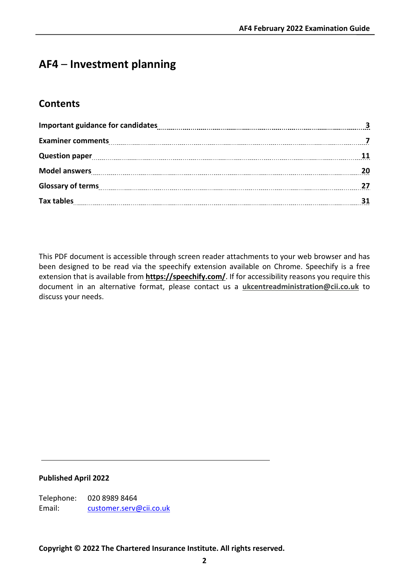# **AF4** – **Investment planning**

# **Contents**

| Question paper 11 11 |  |
|----------------------|--|
|                      |  |
| Glossary of terms 27 |  |
|                      |  |

This PDF document is accessible through screen reader attachments to your web browser and has been designed to be read via the speechify extension available on Chrome. Speechify is a free extension that is available from **[https://speechify.com/](https://eur02.safelinks.protection.outlook.com/?url=https%3A%2F%2Fspeechify.com%2F&data=04%7C01%7CGillian.Rockman%40cii.co.uk%7Cec75c01194ec42caab5408d9e002808a%7C9ee77b3135934471bc65c163af5cf7ec%7C0%7C0%7C637787123611149107%7CUnknown%7CTWFpbGZsb3d8eyJWIjoiMC4wLjAwMDAiLCJQIjoiV2luMzIiLCJBTiI6Ik1haWwiLCJXVCI6Mn0%3D%7C3000&sdata=ap%2BjyUfM3pdotr%2F00FKqV7pAw39Fs39e07%2BIGQJWhtw%3D&reserved=0)**. If for accessibility reasons you require this document in an alternative format, please contact us a **[ukcentreadministration@cii.co.uk](mailto:ukcentreadministration@cii.co.uk)** to discuss your needs.

#### **Published April 2022**

Telephone: 020 8989 8464 Email: [customer.serv@cii.co.uk](mailto:customer.serv@cii.co.uk)

**Copyright © 2022 The Chartered Insurance Institute. All rights reserved.**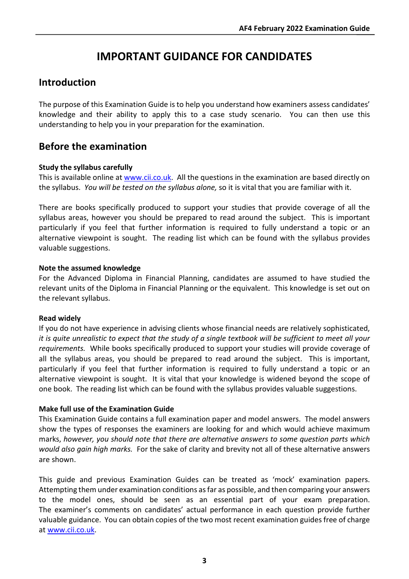# **IMPORTANT GUIDANCE FOR CANDIDATES**

# **Introduction**

The purpose of this Examination Guide is to help you understand how examiners assess candidates' knowledge and their ability to apply this to a case study scenario. You can then use this understanding to help you in your preparation for the examination.

# **Before the examination**

#### **Study the syllabus carefully**

This is available online at [www.cii.co.uk.](http://www.cii.co.uk/) All the questions in the examination are based directly on the syllabus. *You will be tested on the syllabus alone,* so it is vital that you are familiar with it.

There are books specifically produced to support your studies that provide coverage of all the syllabus areas, however you should be prepared to read around the subject. This is important particularly if you feel that further information is required to fully understand a topic or an alternative viewpoint is sought. The reading list which can be found with the syllabus provides valuable suggestions.

#### **Note the assumed knowledge**

For the Advanced Diploma in Financial Planning, candidates are assumed to have studied the relevant units of the Diploma in Financial Planning or the equivalent. This knowledge is set out on the relevant syllabus.

#### **Read widely**

If you do not have experience in advising clients whose financial needs are relatively sophisticated, *it is quite unrealistic to expect that the study of a single textbook will be sufficient to meet all your requirements.* While books specifically produced to support your studies will provide coverage of all the syllabus areas, you should be prepared to read around the subject. This is important, particularly if you feel that further information is required to fully understand a topic or an alternative viewpoint is sought. It is vital that your knowledge is widened beyond the scope of one book. The reading list which can be found with the syllabus provides valuable suggestions.

#### **Make full use of the Examination Guide**

This Examination Guide contains a full examination paper and model answers. The model answers show the types of responses the examiners are looking for and which would achieve maximum marks, *however, you should note that there are alternative answers to some question parts which would also gain high marks.* For the sake of clarity and brevity not all of these alternative answers are shown.

This guide and previous Examination Guides can be treated as 'mock' examination papers. Attempting them under examination conditions as far as possible, and then comparing your answers to the model ones, should be seen as an essential part of your exam preparation. The examiner's comments on candidates' actual performance in each question provide further valuable guidance. You can obtain copies of the two most recent examination guides free of charge at [www.cii.co.uk.](http://www.cii.co.uk/)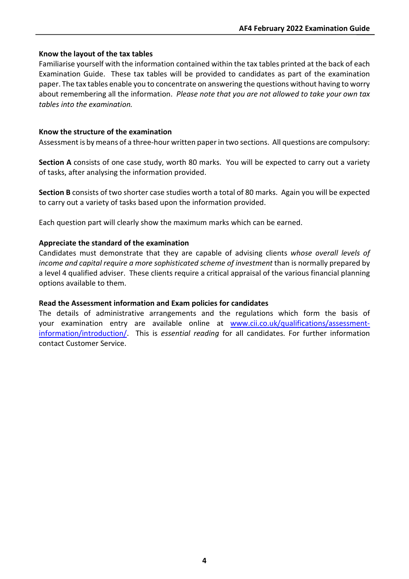#### **Know the layout of the tax tables**

Familiarise yourself with the information contained within the tax tables printed at the back of each Examination Guide. These tax tables will be provided to candidates as part of the examination paper. The tax tables enable you to concentrate on answering the questions without having to worry about remembering all the information. *Please note that you are not allowed to take your own tax tables into the examination.*

#### **Know the structure of the examination**

Assessment is by means of a three-hour written paper in two sections. All questions are compulsory:

**Section A** consists of one case study, worth 80 marks. You will be expected to carry out a variety of tasks, after analysing the information provided.

**Section B** consists of two shorter case studies worth a total of 80 marks. Again you will be expected to carry out a variety of tasks based upon the information provided.

Each question part will clearly show the maximum marks which can be earned.

#### **Appreciate the standard of the examination**

Candidates must demonstrate that they are capable of advising clients *whose overall levels of income and capital require a more sophisticated scheme of investment* than is normally prepared by a level 4 qualified adviser. These clients require a critical appraisal of the various financial planning options available to them.

#### **Read the Assessment information and Exam policies for candidates**

The details of administrative arrangements and the regulations which form the basis of your examination entry are available online at [www.cii.co.uk/qualifications/assessment](http://www.cii.co.uk/qualifications/assessment-information/introduction/)[information/introduction/.](http://www.cii.co.uk/qualifications/assessment-information/introduction/) This is *essential reading* for all candidates. For further information contact Customer Service.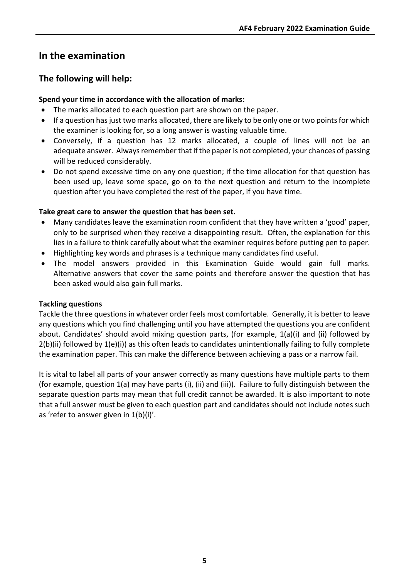# **In the examination**

## **The following will help:**

#### **Spend your time in accordance with the allocation of marks:**

- The marks allocated to each question part are shown on the paper.
- If a question has just two marks allocated, there are likely to be only one or two points for which the examiner is looking for, so a long answer is wasting valuable time.
- Conversely, if a question has 12 marks allocated, a couple of lines will not be an adequate answer. Always remember that if the paper is not completed, your chances of passing will be reduced considerably.
- Do not spend excessive time on any one question; if the time allocation for that question has been used up, leave some space, go on to the next question and return to the incomplete question after you have completed the rest of the paper, if you have time.

#### **Take great care to answer the question that has been set.**

- Many candidates leave the examination room confident that they have written a 'good' paper, only to be surprised when they receive a disappointing result. Often, the explanation for this lies in a failure to think carefully about what the examiner requires before putting pen to paper.
- Highlighting key words and phrases is a technique many candidates find useful.
- The model answers provided in this Examination Guide would gain full marks. Alternative answers that cover the same points and therefore answer the question that has been asked would also gain full marks.

#### **Tackling questions**

Tackle the three questions in whatever order feels most comfortable. Generally, it is better to leave any questions which you find challenging until you have attempted the questions you are confident about. Candidates' should avoid mixing question parts, (for example, 1(a)(i) and (ii) followed by 2(b)(ii) followed by 1(e)(i)) as this often leads to candidates unintentionally failing to fully complete the examination paper. This can make the difference between achieving a pass or a narrow fail.

It is vital to label all parts of your answer correctly as many questions have multiple parts to them (for example, question 1(a) may have parts (i), (ii) and (iii)). Failure to fully distinguish between the separate question parts may mean that full credit cannot be awarded. It is also important to note that a full answer must be given to each question part and candidates should not include notes such as 'refer to answer given in 1(b)(i)'.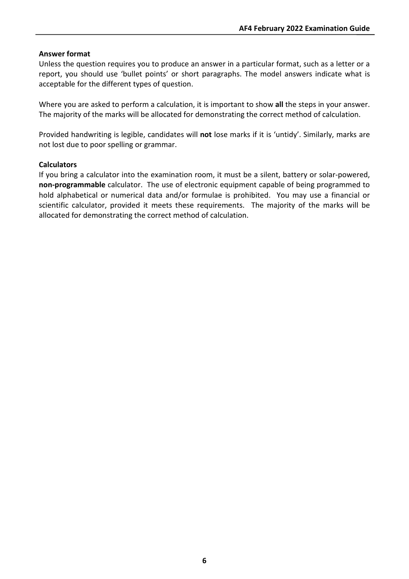#### **Answer format**

Unless the question requires you to produce an answer in a particular format, such as a letter or a report, you should use 'bullet points' or short paragraphs. The model answers indicate what is acceptable for the different types of question.

Where you are asked to perform a calculation, it is important to show **all** the steps in your answer. The majority of the marks will be allocated for demonstrating the correct method of calculation.

Provided handwriting is legible, candidates will **not** lose marks if it is 'untidy'. Similarly, marks are not lost due to poor spelling or grammar.

#### **Calculators**

If you bring a calculator into the examination room, it must be a silent, battery or solar-powered, **non-programmable** calculator. The use of electronic equipment capable of being programmed to hold alphabetical or numerical data and/or formulae is prohibited. You may use a financial or scientific calculator, provided it meets these requirements. The majority of the marks will be allocated for demonstrating the correct method of calculation.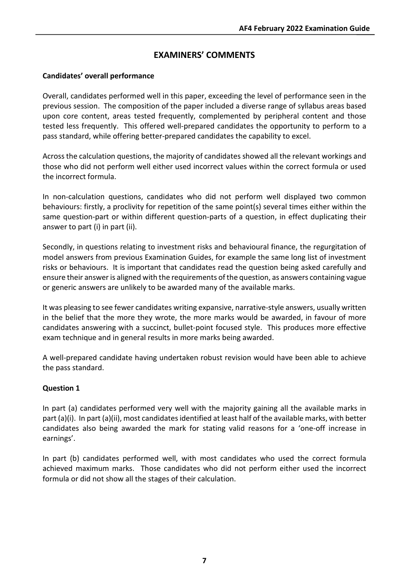## **EXAMINERS' COMMENTS**

#### **Candidates' overall performance**

Overall, candidates performed well in this paper, exceeding the level of performance seen in the previous session. The composition of the paper included a diverse range of syllabus areas based upon core content, areas tested frequently, complemented by peripheral content and those tested less frequently. This offered well-prepared candidates the opportunity to perform to a pass standard, while offering better-prepared candidates the capability to excel.

Across the calculation questions, the majority of candidates showed all the relevant workings and those who did not perform well either used incorrect values within the correct formula or used the incorrect formula.

In non-calculation questions, candidates who did not perform well displayed two common behaviours: firstly, a proclivity for repetition of the same point(s) several times either within the same question-part or within different question-parts of a question, in effect duplicating their answer to part (i) in part (ii).

Secondly, in questions relating to investment risks and behavioural finance, the regurgitation of model answers from previous Examination Guides, for example the same long list of investment risks or behaviours. It is important that candidates read the question being asked carefully and ensure their answeris aligned with the requirements of the question, as answers containing vague or generic answers are unlikely to be awarded many of the available marks.

It was pleasing to see fewer candidates writing expansive, narrative-style answers, usually written in the belief that the more they wrote, the more marks would be awarded, in favour of more candidates answering with a succinct, bullet-point focused style. This produces more effective exam technique and in general results in more marks being awarded.

A well-prepared candidate having undertaken robust revision would have been able to achieve the pass standard.

#### **Question 1**

In part (a) candidates performed very well with the majority gaining all the available marks in part (a)(i). In part (a)(ii), most candidates identified at least half of the available marks, with better candidates also being awarded the mark for stating valid reasons for a 'one-off increase in earnings'.

In part (b) candidates performed well, with most candidates who used the correct formula achieved maximum marks. Those candidates who did not perform either used the incorrect formula or did not show all the stages of their calculation.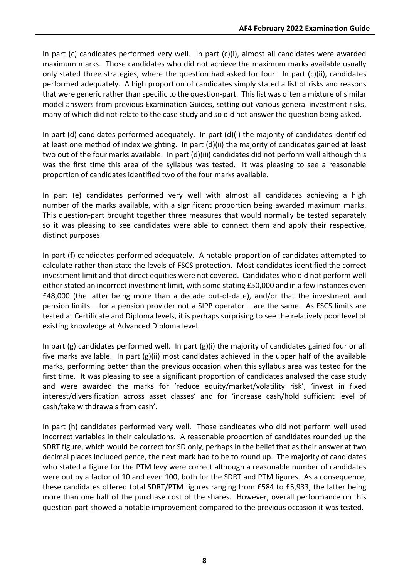In part (c) candidates performed very well. In part (c)(i), almost all candidates were awarded maximum marks. Those candidates who did not achieve the maximum marks available usually only stated three strategies, where the question had asked for four. In part (c)(ii), candidates performed adequately. A high proportion of candidates simply stated a list of risks and reasons that were generic rather than specific to the question-part. This list was often a mixture of similar model answers from previous Examination Guides, setting out various general investment risks, many of which did not relate to the case study and so did not answer the question being asked.

In part (d) candidates performed adequately. In part (d)(i) the majority of candidates identified at least one method of index weighting. In part (d)(ii) the majority of candidates gained at least two out of the four marks available. In part (d)(iii) candidates did not perform well although this was the first time this area of the syllabus was tested. It was pleasing to see a reasonable proportion of candidates identified two of the four marks available.

In part (e) candidates performed very well with almost all candidates achieving a high number of the marks available, with a significant proportion being awarded maximum marks. This question-part brought together three measures that would normally be tested separately so it was pleasing to see candidates were able to connect them and apply their respective, distinct purposes.

In part (f) candidates performed adequately. A notable proportion of candidates attempted to calculate rather than state the levels of FSCS protection. Most candidates identified the correct investment limit and that direct equities were not covered. Candidates who did not perform well either stated an incorrect investment limit, with some stating £50,000 and in a few instances even £48,000 (the latter being more than a decade out-of-date), and/or that the investment and pension limits – for a pension provider not a SIPP operator – are the same. As FSCS limits are tested at Certificate and Diploma levels, it is perhaps surprising to see the relatively poor level of existing knowledge at Advanced Diploma level.

In part (g) candidates performed well. In part (g)(i) the majority of candidates gained four or all five marks available. In part (g)(ii) most candidates achieved in the upper half of the available marks, performing better than the previous occasion when this syllabus area was tested for the first time. It was pleasing to see a significant proportion of candidates analysed the case study and were awarded the marks for 'reduce equity/market/volatility risk', 'invest in fixed interest/diversification across asset classes' and for 'increase cash/hold sufficient level of cash/take withdrawals from cash'.

In part (h) candidates performed very well. Those candidates who did not perform well used incorrect variables in their calculations. A reasonable proportion of candidates rounded up the SDRT figure, which would be correct for SD only, perhaps in the belief that as their answer at two decimal places included pence, the next mark had to be to round up. The majority of candidates who stated a figure for the PTM levy were correct although a reasonable number of candidates were out by a factor of 10 and even 100, both for the SDRT and PTM figures. As a consequence, these candidates offered total SDRT/PTM figures ranging from £584 to £5,933, the latter being more than one half of the purchase cost of the shares. However, overall performance on this question-part showed a notable improvement compared to the previous occasion it was tested.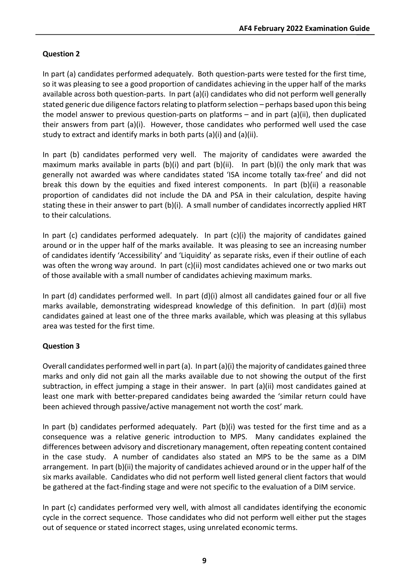## **Question 2**

In part (a) candidates performed adequately. Both question-parts were tested for the first time, so it was pleasing to see a good proportion of candidates achieving in the upper half of the marks available across both question-parts. In part (a)(i) candidates who did not perform well generally stated generic due diligence factors relating to platform selection – perhaps based upon this being the model answer to previous question-parts on platforms – and in part (a)(ii), then duplicated their answers from part (a)(i). However, those candidates who performed well used the case study to extract and identify marks in both parts (a)(i) and (a)(ii).

In part (b) candidates performed very well. The majority of candidates were awarded the maximum marks available in parts (b)(i) and part (b)(ii). In part (b)(i) the only mark that was generally not awarded was where candidates stated 'ISA income totally tax-free' and did not break this down by the equities and fixed interest components. In part (b)(ii) a reasonable proportion of candidates did not include the DA and PSA in their calculation, despite having stating these in their answer to part (b)(i). A small number of candidates incorrectly applied HRT to their calculations.

In part (c) candidates performed adequately. In part (c)(i) the majority of candidates gained around or in the upper half of the marks available. It was pleasing to see an increasing number of candidates identify 'Accessibility' and 'Liquidity' as separate risks, even if their outline of each was often the wrong way around. In part (c)(ii) most candidates achieved one or two marks out of those available with a small number of candidates achieving maximum marks.

In part (d) candidates performed well. In part  $(d)(i)$  almost all candidates gained four or all five marks available, demonstrating widespread knowledge of this definition. In part (d)(ii) most candidates gained at least one of the three marks available, which was pleasing at this syllabus area was tested for the first time.

## **Question 3**

Overall candidates performed well in part (a). In part (a)(i) the majority of candidates gained three marks and only did not gain all the marks available due to not showing the output of the first subtraction, in effect jumping a stage in their answer. In part (a)(ii) most candidates gained at least one mark with better-prepared candidates being awarded the 'similar return could have been achieved through passive/active management not worth the cost' mark.

In part (b) candidates performed adequately. Part (b)(i) was tested for the first time and as a consequence was a relative generic introduction to MPS. Many candidates explained the differences between advisory and discretionary management, often repeating content contained in the case study. A number of candidates also stated an MPS to be the same as a DIM arrangement. In part (b)(ii) the majority of candidates achieved around or in the upper half of the six marks available. Candidates who did not perform well listed general client factors that would be gathered at the fact-finding stage and were not specific to the evaluation of a DIM service.

In part (c) candidates performed very well, with almost all candidates identifying the economic cycle in the correct sequence. Those candidates who did not perform well either put the stages out of sequence or stated incorrect stages, using unrelated economic terms.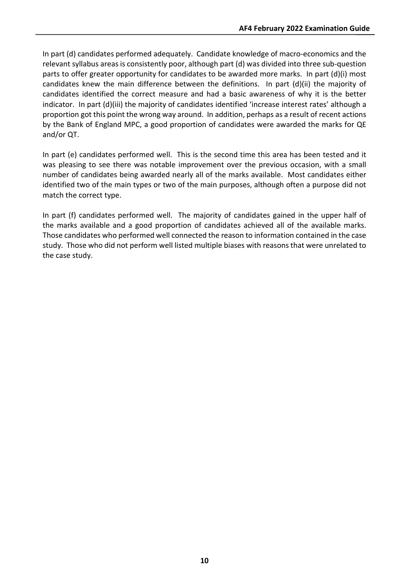In part (d) candidates performed adequately. Candidate knowledge of macro-economics and the relevant syllabus areas is consistently poor, although part (d) was divided into three sub-question parts to offer greater opportunity for candidates to be awarded more marks. In part (d)(i) most candidates knew the main difference between the definitions. In part (d)(ii) the majority of candidates identified the correct measure and had a basic awareness of why it is the better indicator. In part (d)(iii) the majority of candidates identified 'increase interest rates' although a proportion got this point the wrong way around. In addition, perhaps as a result of recent actions by the Bank of England MPC, a good proportion of candidates were awarded the marks for QE and/or QT.

In part (e) candidates performed well. This is the second time this area has been tested and it was pleasing to see there was notable improvement over the previous occasion, with a small number of candidates being awarded nearly all of the marks available. Most candidates either identified two of the main types or two of the main purposes, although often a purpose did not match the correct type.

In part (f) candidates performed well. The majority of candidates gained in the upper half of the marks available and a good proportion of candidates achieved all of the available marks. Those candidates who performed well connected the reason to information contained in the case study. Those who did not perform well listed multiple biases with reasons that were unrelated to the case study.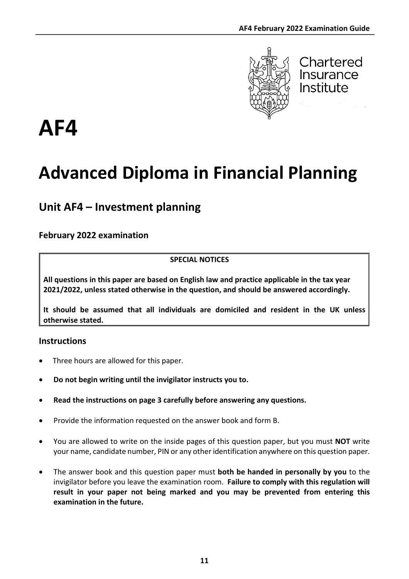

Chartered Insurance Institute

# **AF4**

# **Advanced Diploma in Financial Planning**

# **Unit AF4 – Investment planning**

## **February 2022 examination**

#### **SPECIAL NOTICES**

**All questions in this paper are based on English law and practice applicable in the tax year 2021/2022, unless stated otherwise in the question, and should be answered accordingly.**

**It should be assumed that all individuals are domiciled and resident in the UK unless otherwise stated.**

## **Instructions**

- Three hours are allowed for this paper.
- **Do not begin writing until the invigilator instructs you to.**
- **Read the instructions on page 3 carefully before answering any questions.**
- Provide the information requested on the answer book and form B.
- You are allowed to write on the inside pages of this question paper, but you must **NOT** write your name, candidate number, PIN or any other identification anywhere on this question paper.
- The answer book and this question paper must **both be handed in personally by you** to the invigilator before you leave the examination room. **Failure to comply with this regulation will result in your paper not being marked and you may be prevented from entering this examination in the future.**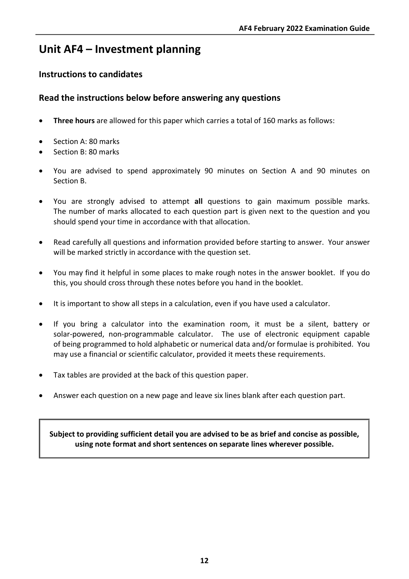# **Unit AF4 – Investment planning**

## **Instructions to candidates**

## **Read the instructions below before answering any questions**

- **Three hours** are allowed for this paper which carries a total of 160 marks as follows:
- Section A: 80 marks
- Section B: 80 marks
- You are advised to spend approximately 90 minutes on Section A and 90 minutes on Section B.
- You are strongly advised to attempt **all** questions to gain maximum possible marks. The number of marks allocated to each question part is given next to the question and you should spend your time in accordance with that allocation.
- Read carefully all questions and information provided before starting to answer. Your answer will be marked strictly in accordance with the question set.
- You may find it helpful in some places to make rough notes in the answer booklet. If you do this, you should cross through these notes before you hand in the booklet.
- It is important to show all steps in a calculation, even if you have used a calculator.
- If you bring a calculator into the examination room, it must be a silent, battery or solar-powered, non-programmable calculator. The use of electronic equipment capable of being programmed to hold alphabetic or numerical data and/or formulae is prohibited. You may use a financial or scientific calculator, provided it meets these requirements.
- Tax tables are provided at the back of this question paper.
- Answer each question on a new page and leave six lines blank after each question part.

**Subject to providing sufficient detail you are advised to be as brief and concise as possible, using note format and short sentences on separate lines wherever possible.**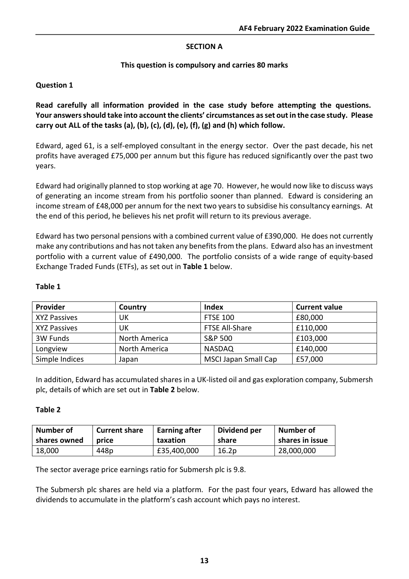#### **SECTION A**

#### **This question is compulsory and carries 80 marks**

#### **Question 1**

**Read carefully all information provided in the case study before attempting the questions. Your answers should take into account the clients' circumstances as set out in the case study. Please carry out ALL of the tasks (a), (b), (c), (d), (e), (f), (g) and (h) which follow.**

Edward, aged 61, is a self-employed consultant in the energy sector. Over the past decade, his net profits have averaged £75,000 per annum but this figure has reduced significantly over the past two years.

Edward had originally planned to stop working at age 70. However, he would now like to discuss ways of generating an income stream from his portfolio sooner than planned. Edward is considering an income stream of £48,000 per annum for the next two years to subsidise his consultancy earnings. At the end of this period, he believes his net profit will return to its previous average.

Edward has two personal pensions with a combined current value of £390,000. He does not currently make any contributions and has not taken any benefits from the plans. Edward also has an investment portfolio with a current value of £490,000. The portfolio consists of a wide range of equity-based Exchange Traded Funds (ETFs), as set out in **Table 1** below.

| Provider            | Country       | Index                       | <b>Current value</b> |
|---------------------|---------------|-----------------------------|----------------------|
| <b>XYZ Passives</b> | UK            | <b>FTSE 100</b>             | £80,000              |
| <b>XYZ Passives</b> | UK            | FTSE All-Share              | £110,000             |
| 3W Funds            | North America | S&P 500                     | £103,000             |
| Longview            | North America | <b>NASDAQ</b>               | £140,000             |
| Simple Indices      | Japan         | <b>MSCI Japan Small Cap</b> | £57,000              |

#### **Table 1**

In addition, Edward has accumulated shares in a UK-listed oil and gas exploration company, Submersh plc, details of which are set out in **Table 2** below.

#### **Table 2**

| Number of    | <b>Current share</b> | Earning after | Dividend per | <b>Number of</b> |
|--------------|----------------------|---------------|--------------|------------------|
| shares owned | price                | taxation      | share        | shares in issue  |
| 18,000       | 448p                 | £35,400,000   | 16.2p        | 28,000,000       |

The sector average price earnings ratio for Submersh plc is 9.8.

The Submersh plc shares are held via a platform. For the past four years, Edward has allowed the dividends to accumulate in the platform's cash account which pays no interest.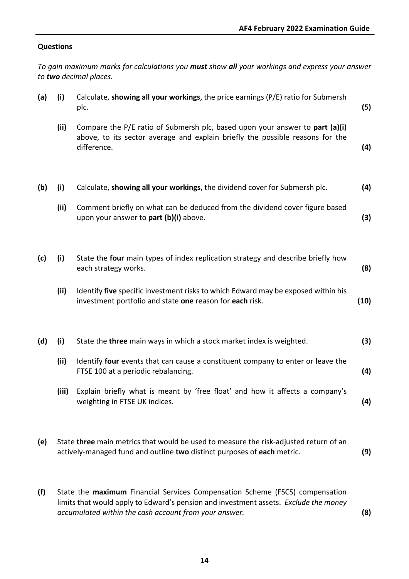#### **Questions**

*To gain maximum marks for calculations you must show all your workings and express your answer to two decimal places.*

| (a) | (i)   | Calculate, showing all your workings, the price earnings (P/E) ratio for Submersh<br>plc.                                                                                    | (5)  |
|-----|-------|------------------------------------------------------------------------------------------------------------------------------------------------------------------------------|------|
|     | (ii)  | Compare the P/E ratio of Submersh plc, based upon your answer to part (a)(i)<br>above, to its sector average and explain briefly the possible reasons for the<br>difference. | (4)  |
| (b) | (i)   | Calculate, showing all your workings, the dividend cover for Submersh plc.                                                                                                   | (4)  |
|     | (ii)  | Comment briefly on what can be deduced from the dividend cover figure based<br>upon your answer to part (b)(i) above.                                                        | (3)  |
| (c) | (i)   | State the four main types of index replication strategy and describe briefly how<br>each strategy works.                                                                     | (8)  |
|     | (ii)  | Identify five specific investment risks to which Edward may be exposed within his<br>investment portfolio and state one reason for each risk.                                | (10) |
| (d) | (i)   | State the three main ways in which a stock market index is weighted.                                                                                                         | (3)  |
|     | (ii)  | Identify four events that can cause a constituent company to enter or leave the<br>FTSE 100 at a periodic rebalancing.                                                       | (4)  |
|     | (iii) | Explain briefly what is meant by 'free float' and how it affects a company's<br>weighting in FTSE UK indices.                                                                | (4)  |
| (e) |       | State three main metrics that would be used to measure the risk-adjusted return of an<br>actively-managed fund and outline two distinct purposes of each metric.             | (9)  |

**(f)** State the **maximum** Financial Services Compensation Scheme (FSCS) compensation limits that would apply to Edward's pension and investment assets. *Exclude the money accumulated within the cash account from your answer.* **(8)**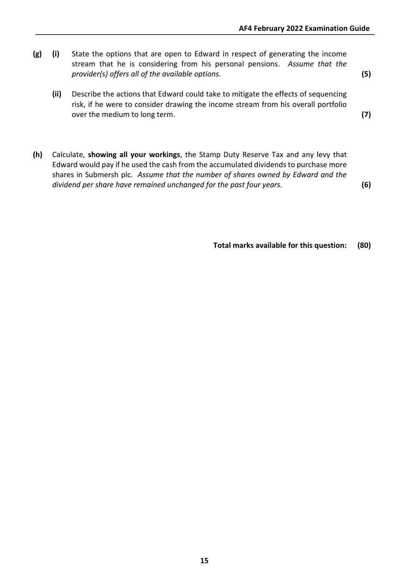- **(g) (i)** State the options that are open to Edward in respect of generating the income stream that he is considering from his personal pensions. *Assume that the provider(s) offers all of the available options*. **(5)**
	- **(ii)** Describe the actions that Edward could take to mitigate the effects of sequencing risk, if he were to consider drawing the income stream from his overall portfolio over the medium to long term. **(7)**

**(h)** Calculate, **showing all your workings**, the Stamp Duty Reserve Tax and any levy that Edward would pay if he used the cash from the accumulated dividends to purchase more shares in Submersh plc. *Assume that the number of shares owned by Edward and the dividend per share have remained unchanged for the past four years.* **(6)**

**Total marks available for this question: (80)**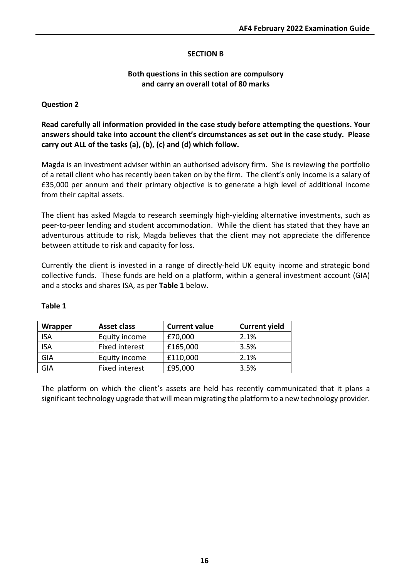#### **SECTION B**

#### **Both questions in this section are compulsory and carry an overall total of 80 marks**

#### **Question 2**

**Read carefully all information provided in the case study before attempting the questions. Your answers should take into account the client's circumstances as set out in the case study. Please carry out ALL of the tasks (a), (b), (c) and (d) which follow.**

Magda is an investment adviser within an authorised advisory firm. She is reviewing the portfolio of a retail client who has recently been taken on by the firm. The client's only income is a salary of £35,000 per annum and their primary objective is to generate a high level of additional income from their capital assets.

The client has asked Magda to research seemingly high-yielding alternative investments, such as peer-to-peer lending and student accommodation. While the client has stated that they have an adventurous attitude to risk, Magda believes that the client may not appreciate the difference between attitude to risk and capacity for loss.

Currently the client is invested in a range of directly-held UK equity income and strategic bond collective funds. These funds are held on a platform, within a general investment account (GIA) and a stocks and shares ISA, as per **Table 1** below.

| Wrapper    | Asset class           | <b>Current value</b> | <b>Current yield</b> |
|------------|-----------------------|----------------------|----------------------|
| <b>ISA</b> | Equity income         | £70,000              | 2.1%                 |
| <b>ISA</b> | Fixed interest        | £165,000             | 3.5%                 |
| GIA        | Equity income         | £110,000             | 2.1%                 |
| GIA        | <b>Fixed interest</b> | £95,000              | 3.5%                 |

#### **Table 1**

The platform on which the client's assets are held has recently communicated that it plans a significant technology upgrade that will mean migrating the platform to a new technology provider.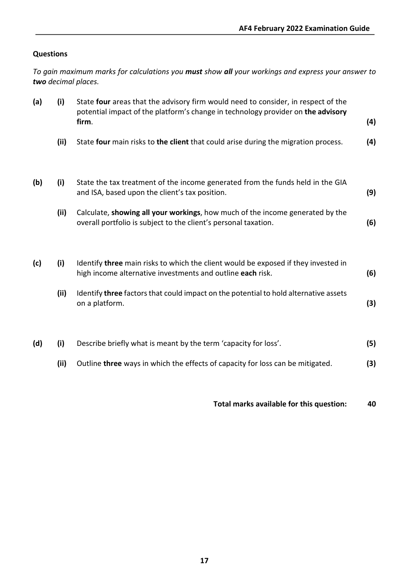#### **Questions**

*To gain maximum marks for calculations you must show all your workings and express your answer to two decimal places.*

| (a) | (i)  | State four areas that the advisory firm would need to consider, in respect of the<br>potential impact of the platform's change in technology provider on the advisory<br>firm. | (4) |
|-----|------|--------------------------------------------------------------------------------------------------------------------------------------------------------------------------------|-----|
|     | (ii) | State four main risks to the client that could arise during the migration process.                                                                                             | (4) |
| (b) | (i)  | State the tax treatment of the income generated from the funds held in the GIA<br>and ISA, based upon the client's tax position.                                               | (9) |
|     | (ii) | Calculate, showing all your workings, how much of the income generated by the<br>overall portfolio is subject to the client's personal taxation.                               | (6) |
| (c) | (i)  | Identify three main risks to which the client would be exposed if they invested in<br>high income alternative investments and outline each risk.                               | (6) |
|     | (ii) | Identify three factors that could impact on the potential to hold alternative assets<br>on a platform.                                                                         | (3) |
| (d) | (i)  | Describe briefly what is meant by the term 'capacity for loss'.                                                                                                                | (5) |
|     | (ii) | Outline three ways in which the effects of capacity for loss can be mitigated.                                                                                                 | (3) |

**Total marks available for this question: 40**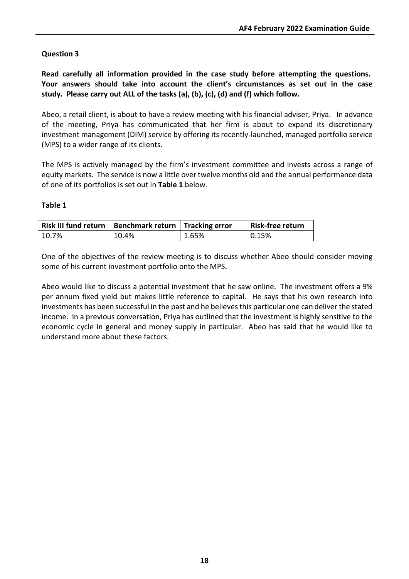#### **Question 3**

**Read carefully all information provided in the case study before attempting the questions. Your answers should take into account the client's circumstances as set out in the case study. Please carry out ALL of the tasks (a), (b), (c), (d) and (f) which follow.**

Abeo, a retail client, is about to have a review meeting with his financial adviser, Priya. In advance of the meeting, Priya has communicated that her firm is about to expand its discretionary investment management (DIM) service by offering its recently-launched, managed portfolio service (MPS) to a wider range of its clients.

The MPS is actively managed by the firm's investment committee and invests across a range of equity markets. The service is now a little over twelve months old and the annual performance data of one of its portfolios is set out in **Table 1** below.

#### **Table 1**

| Risk III fund return   Benchmark return   Tracking error |       |       | Risk-free return |
|----------------------------------------------------------|-------|-------|------------------|
| 10.7%                                                    | 10.4% | 1.65% | 0.15%            |

One of the objectives of the review meeting is to discuss whether Abeo should consider moving some of his current investment portfolio onto the MPS.

Abeo would like to discuss a potential investment that he saw online. The investment offers a 9% per annum fixed yield but makes little reference to capital. He says that his own research into investments has been successful in the past and he believes this particular one can deliver the stated income. In a previous conversation, Priya has outlined that the investment is highly sensitive to the economic cycle in general and money supply in particular. Abeo has said that he would like to understand more about these factors.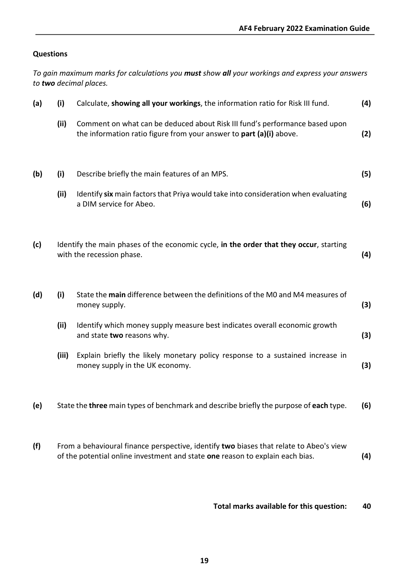#### **Questions**

*To gain maximum marks for calculations you must show all your workings and express your answers to two decimal places.* **(a) (i)** Calculate, **showing all your workings**, the information ratio for Risk III fund. **(4) (ii)** Comment on what can be deduced about Risk III fund's performance based upon the information ratio figure from your answer to **part (a)(i)** above. **(2) (b) (i)** Describe briefly the main features of an MPS. **(5) (ii)** Identify **six** main factors that Priya would take into consideration when evaluating a DIM service for Abeo. **(6) (c)** Identify the main phases of the economic cycle, **in the order that they occur**, starting with the recession phase. **(4) (d) (i)** State the **main** difference between the definitions of the M0 and M4 measures of money supply. **(3) (ii)** Identify which money supply measure best indicates overall economic growth and state **two** reasons why. **(3) (iii)** Explain briefly the likely monetary policy response to a sustained increase in money supply in the UK economy. **(3) (e)** State the **three** main types of benchmark and describe briefly the purpose of **each** type. **(6) (f)** From a behavioural finance perspective, identify **two** biases that relate to Abeo's view of the potential online investment and state **one** reason to explain each bias. **(4)**

**Total marks available for this question: 40**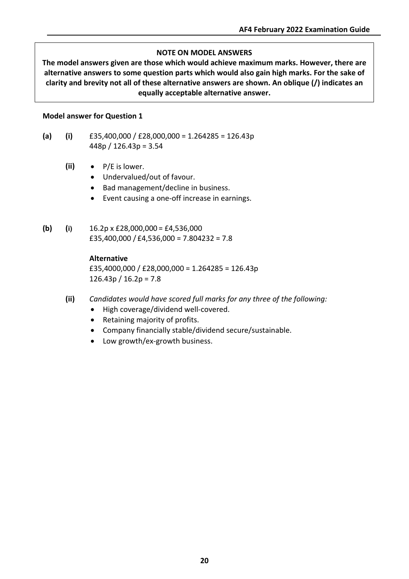#### **NOTE ON MODEL ANSWERS**

**The model answers given are those which would achieve maximum marks. However, there are alternative answers to some question parts which would also gain high marks. For the sake of clarity and brevity not all of these alternative answers are shown. An oblique (/) indicates an equally acceptable alternative answer.**

#### **Model answer for Question 1**

- **(a) (i)** £35,400,000 / £28,000,000 = 1.264285 = 126.43p 448p / 126.43p = 3.54
	- **(ii)** P/E is lower.
		- Undervalued/out of favour.
		- Bad management/decline in business.
		- Event causing a one-off increase in earnings.
- **(b) (i)** 16.2p x £28,000,000 = £4,536,000 £35,400,000 / £4,536,000 = 7.804232 = 7.8

#### **Alternative**

£35,4000,000 / £28,000,000 = 1.264285 = 126.43p  $126.43p / 16.2p = 7.8$ 

- **(ii)** *Candidates would have scored full marks for any three of the following:*
	- High coverage/dividend well-covered.
	- Retaining majority of profits.
	- Company financially stable/dividend secure/sustainable.
	- Low growth/ex-growth business.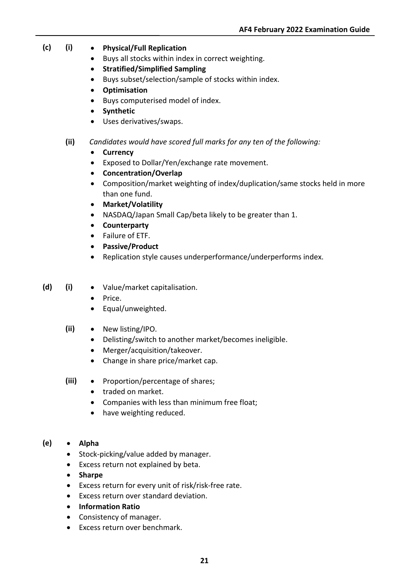- **(c) (i) Physical/Full Replication**
	- Buys all stocks within index in correct weighting.
	- **Stratified/Simplified Sampling**
	- Buys subset/selection/sample of stocks within index.
	- **Optimisation**
	- Buys computerised model of index.
	- **Synthetic**
	- Uses derivatives/swaps.
	- **(ii)** *Candidates would have scored full marks for any ten of the following:*
		- **Currency**
		- Exposed to Dollar/Yen/exchange rate movement.
		- **Concentration/Overlap**
		- Composition/market weighting of index/duplication/same stocks held in more than one fund.
		- **Market/Volatility**
		- NASDAQ/Japan Small Cap/beta likely to be greater than 1.
		- **Counterparty**
		- Failure of ETF.
		- **Passive/Product**
		- Replication style causes underperformance/underperforms index.
- **(d) (i)** Value/market capitalisation.
	- Price.
	- Equal/unweighted.
	- **(ii)** New listing/IPO.
		- Delisting/switch to another market/becomes ineligible.
		- Merger/acquisition/takeover.
		- Change in share price/market cap.
	- **(iii)** Proportion/percentage of shares;
		- traded on market.
		- Companies with less than minimum free float;
		- have weighting reduced.

#### **(e)** • **Alpha**

- Stock-picking/value added by manager.
- Excess return not explained by beta.
- **Sharpe**
- Excess return for every unit of risk/risk-free rate.
- Excess return over standard deviation.
- **Information Ratio**
- Consistency of manager.
- Excess return over benchmark.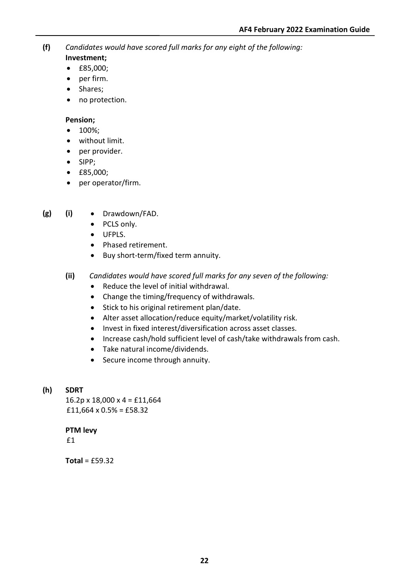**(f)** *Candidates would have scored full marks for any eight of the following:*

- **Investment;**
- £85,000;
- per firm.
- Shares;
- no protection.

#### **Pension;**

- 100%;
- without limit.
- per provider.
- SIPP;
- £85,000;
- per operator/firm.
- **(g) (i)** Drawdown/FAD.
	- PCLS only.
	- UFPLS.
	- Phased retirement.
	- Buy short-term/fixed term annuity.
	- **(ii)** *Candidates would have scored full marks for any seven of the following:*
		- Reduce the level of initial withdrawal.
		- Change the timing/frequency of withdrawals.
		- Stick to his original retirement plan/date.
		- Alter asset allocation/reduce equity/market/volatility risk.
		- Invest in fixed interest/diversification across asset classes.
		- Increase cash/hold sufficient level of cash/take withdrawals from cash.
		- Take natural income/dividends.
		- Secure income through annuity.
- **(h) SDRT**

 $16.2p \times 18,000 \times 4 =$ £11,664 £11,664 x  $0.5% = \text{\textsterling}58.32$ 

**PTM levy** £1

**Total** = £59.32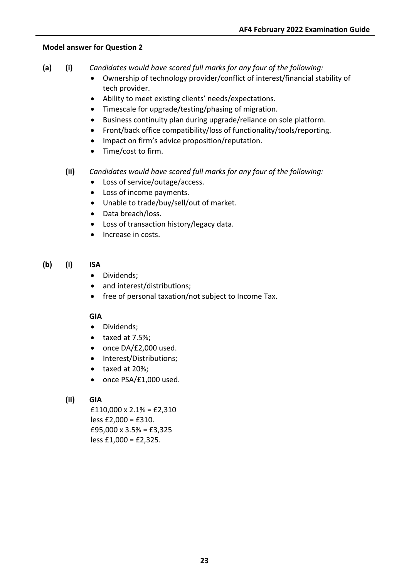#### **Model answer for Question 2**

- **(a) (i)** *Candidates would have scored full marks for any four of the following:*
	- Ownership of technology provider/conflict of interest/financial stability of tech provider.
	- Ability to meet existing clients' needs/expectations.
	- Timescale for upgrade/testing/phasing of migration.
	- Business continuity plan during upgrade/reliance on sole platform.
	- Front/back office compatibility/loss of functionality/tools/reporting.
	- Impact on firm's advice proposition/reputation.
	- Time/cost to firm.
	- **(ii)** *Candidates would have scored full marks for any four of the following:*
		- Loss of service/outage/access.
		- Loss of income payments.
		- Unable to trade/buy/sell/out of market.
		- Data breach/loss.
		- Loss of transaction history/legacy data.
		- Increase in costs.

#### **(b) (i) ISA**

- Dividends;
- and interest/distributions;
- free of personal taxation/not subject to Income Tax.

#### **GIA**

- Dividends;
- taxed at 7.5%;
- once DA/£2,000 used.
- Interest/Distributions;
- taxed at 20%;
- once PSA/£1,000 used.

#### **(ii) GIA**

 $£110,000 \times 2.1\% = £2,310$ less £2,000 = £310. £95,000  $\times$  3.5% = £3,325 less £1,000 = £2,325.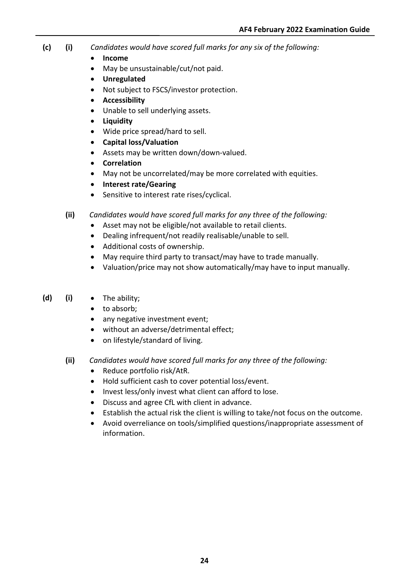- **(c) (i)** *Candidates would have scored full marks for any six of the following:*
	- **Income**
	- May be unsustainable/cut/not paid.
	- **Unregulated**
	- Not subject to FSCS/investor protection.
	- **Accessibility**
	- Unable to sell underlying assets.
	- **Liquidity**
	- Wide price spread/hard to sell.
	- **Capital loss/Valuation**
	- Assets may be written down/down-valued.
	- **Correlation**
	- May not be uncorrelated/may be more correlated with equities.
	- **Interest rate/Gearing**
	- Sensitive to interest rate rises/cyclical.
	- **(ii)** *Candidates would have scored full marks for any three of the following:*
		- Asset may not be eligible/not available to retail clients.
		- Dealing infrequent/not readily realisable/unable to sell.
		- Additional costs of ownership.
		- May require third party to transact/may have to trade manually.
		- Valuation/price may not show automatically/may have to input manually.
- **(d) (i)** The ability;
	- to absorb;
	- any negative investment event;
	- without an adverse/detrimental effect;
	- on lifestyle/standard of living.
	- **(ii)** *Candidates would have scored full marks for any three of the following:*
		- Reduce portfolio risk/AtR.
		- Hold sufficient cash to cover potential loss/event.
		- Invest less/only invest what client can afford to lose.
		- Discuss and agree CfL with client in advance.
		- Establish the actual risk the client is willing to take/not focus on the outcome.
		- Avoid overreliance on tools/simplified questions/inappropriate assessment of information.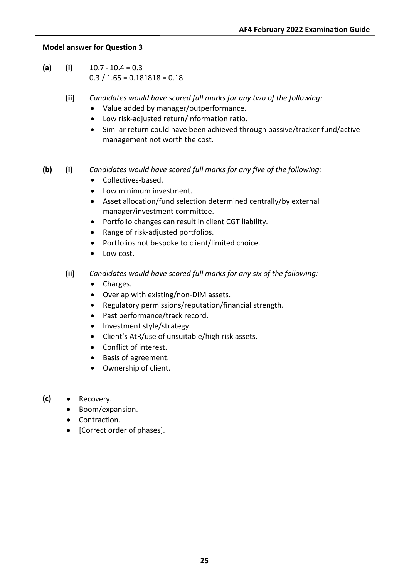#### **Model answer for Question 3**

- $(a)$  (i)  $10.7 10.4 = 0.3$  $0.3 / 1.65 = 0.181818 = 0.18$ 
	- **(ii)** *Candidates would have scored full marks for any two of the following:*
		- Value added by manager/outperformance.
		- Low risk-adjusted return/information ratio.
		- Similar return could have been achieved through passive/tracker fund/active management not worth the cost.

## **(b) (i)** *Candidates would have scored full marks for any five of the following:*

- Collectives-based.
- Low minimum investment.
- Asset allocation/fund selection determined centrally/by external manager/investment committee.
- Portfolio changes can result in client CGT liability.
- Range of risk-adjusted portfolios.
- Portfolios not bespoke to client/limited choice.
- Low cost.
- **(ii)** *Candidates would have scored full marks for any six of the following:*
	- Charges.
	- Overlap with existing/non-DIM assets.
	- Regulatory permissions/reputation/financial strength.
	- Past performance/track record.
	- Investment style/strategy.
	- Client's AtR/use of unsuitable/high risk assets.
	- Conflict of interest.
	- Basis of agreement.
	- Ownership of client.
- **(c)** Recovery.
	- Boom/expansion.
	- Contraction.
	- [Correct order of phases].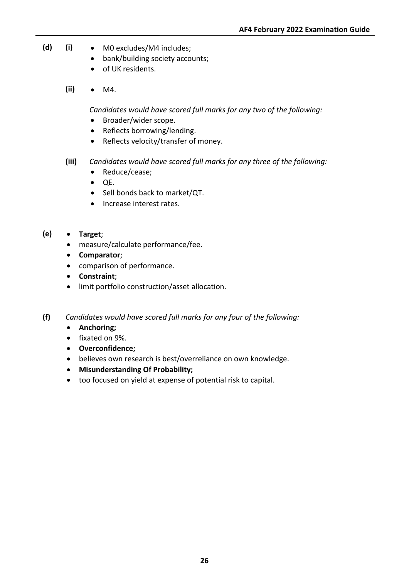- **(d) (i)** M0 excludes/M4 includes;
	- bank/building society accounts;
	- of UK residents.
	- **(ii)** M4.

*Candidates would have scored full marks for any two of the following:*

- Broader/wider scope.
- Reflects borrowing/lending.
- Reflects velocity/transfer of money.
- **(iii)** *Candidates would have scored full marks for any three of the following:*
	- Reduce/cease;
	- QE.
	- Sell bonds back to market/QT.
	- Increase interest rates.
- **(e) Target**;
	- measure/calculate performance/fee.
	- **Comparator**;
	- comparison of performance.
	- **Constraint**;
	- limit portfolio construction/asset allocation.
- **(f)** *Candidates would have scored full marks for any four of the following:*
	- **Anchoring;**
	- fixated on 9%.
	- **Overconfidence;**
	- believes own research is best/overreliance on own knowledge.
	- **Misunderstanding Of Probability;**
	- too focused on yield at expense of potential risk to capital.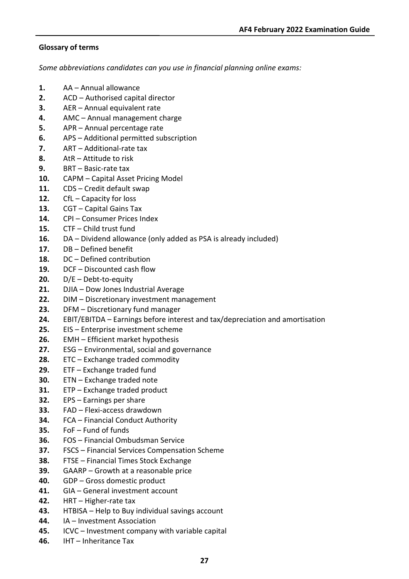#### **Glossary of terms**

*Some abbreviations candidates can you use in financial planning online exams:*

- **1.** AA Annual allowance
- **2.** ACD Authorised capital director
- **3.** AER Annual equivalent rate
- **4.** AMC Annual management charge
- **5.** APR Annual percentage rate
- **6.** APS Additional permitted subscription
- **7.** ART Additional-rate tax
- **8.** AtR Attitude to risk
- **9.** BRT Basic-rate tax
- **10.** CAPM Capital Asset Pricing Model
- **11.** CDS Credit default swap
- **12.** CfL Capacity for loss
- **13.** CGT Capital Gains Tax
- **14.** CPI Consumer Prices Index
- **15.** CTF Child trust fund
- **16.** DA Dividend allowance (only added as PSA is already included)
- **17.** DB Defined benefit
- **18.** DC Defined contribution
- **19.** DCF Discounted cash flow
- **20.** D/E Debt-to-equity
- **21.** DJIA Dow Jones Industrial Average
- **22.** DIM Discretionary investment management
- **23.** DFM Discretionary fund manager
- **24.** EBIT/EBITDA Earnings before interest and tax/depreciation and amortisation
- **25.** EIS Enterprise investment scheme
- **26.** EMH Efficient market hypothesis
- **27.** ESG Environmental, social and governance
- **28.** ETC Exchange traded commodity
- **29.** ETF Exchange traded fund
- **30.** ETN Exchange traded note
- **31.** ETP Exchange traded product
- **32.** EPS Earnings per share
- **33.** FAD Flexi-access drawdown
- **34.** FCA Financial Conduct Authority
- **35.** FoF Fund of funds
- **36.** FOS Financial Ombudsman Service
- **37.** FSCS Financial Services Compensation Scheme
- **38.** FTSE Financial Times Stock Exchange
- **39.** GAARP Growth at a reasonable price
- **40.** GDP Gross domestic product
- **41.** GIA General investment account
- **42.** HRT Higher-rate tax
- **43.** HTBISA Help to Buy individual savings account
- **44.** IA Investment Association
- **45.** ICVC Investment company with variable capital
- **46.** IHT Inheritance Tax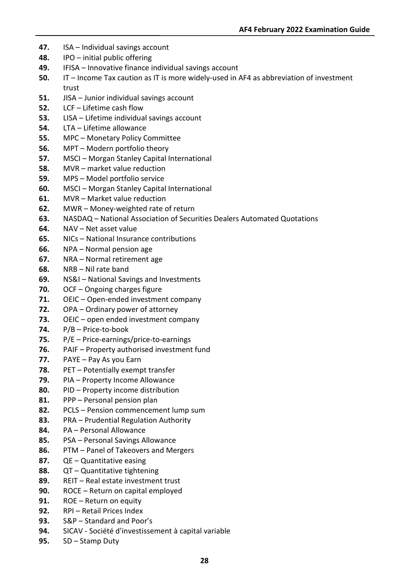- **47.** ISA Individual savings account
- **48.** IPO initial public offering
- **49.** IFISA Innovative finance individual savings account
- **50.** IT Income Tax caution as IT is more widely-used in AF4 as abbreviation of investment trust
- **51.** JISA Junior individual savings account
- **52.** LCF Lifetime cash flow
- **53.** LISA Lifetime individual savings account
- **54.** LTA Lifetime allowance
- **55.** MPC Monetary Policy Committee
- **56.** MPT Modern portfolio theory
- **57.** MSCI Morgan Stanley Capital International
- **58.** MVR market value reduction
- **59.** MPS Model portfolio service
- **60.** MSCI Morgan Stanley Capital International
- **61.** MVR Market value reduction
- **62.** MWR Money-weighted rate of return
- **63.** NASDAQ National Association of Securities Dealers Automated Quotations
- **64.** NAV Net asset value
- **65.** NICs National Insurance contributions
- **66.** NPA Normal pension age
- **67.** NRA Normal retirement age
- **68.** NRB Nil rate band
- **69.** NS&I National Savings and Investments
- **70.** OCF Ongoing charges figure
- **71.** OEIC Open-ended investment company
- **72.** OPA Ordinary power of attorney
- **73.** OEIC open ended investment company
- **74.** P/B Price-to-book
- **75.** P/E Price-earnings/price-to-earnings
- **76.** PAIF Property authorised investment fund
- **77.** PAYE Pay As you Earn
- **78.** PET Potentially exempt transfer
- **79.** PIA Property Income Allowance
- **80.** PID Property income distribution
- **81.** PPP Personal pension plan
- **82.** PCLS Pension commencement lump sum
- **83.** PRA Prudential Regulation Authority
- **84.** PA Personal Allowance
- **85.** PSA Personal Savings Allowance
- **86.** PTM Panel of Takeovers and Mergers
- **87.** QE Quantitative easing
- **88.** QT Quantitative tightening
- **89.** REIT Real estate investment trust
- **90.** ROCE Return on capital employed
- **91.** ROE Return on equity
- **92.** RPI Retail Prices Index
- **93.** S&P Standard and Poor's
- **94.** SICAV Société d'investissement à capital variable
- **95.** SD Stamp Duty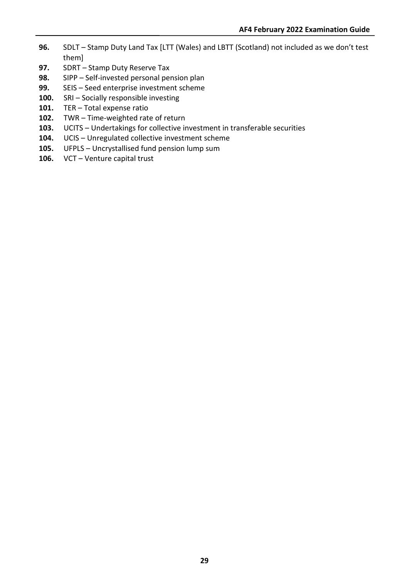- **96.** SDLT Stamp Duty Land Tax [LTT (Wales) and LBTT (Scotland) not included as we don't test them]
- **97.** SDRT Stamp Duty Reserve Tax
- **98.** SIPP Self-invested personal pension plan
- **99.** SEIS Seed enterprise investment scheme
- **100.** SRI Socially responsible investing
- **101.** TER Total expense ratio
- **102.** TWR Time-weighted rate of return
- **103.** UCITS Undertakings for collective investment in transferable securities
- **104.** UCIS Unregulated collective investment scheme
- **105.** UFPLS Uncrystallised fund pension lump sum
- **106.** VCT Venture capital trust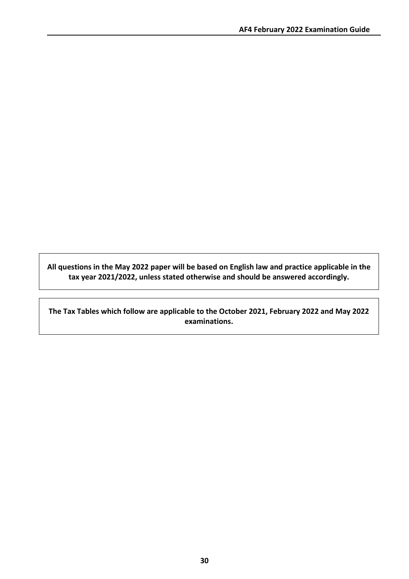**All questions in the May 2022 paper will be based on English law and practice applicable in the tax year 2021/2022, unless stated otherwise and should be answered accordingly.**

**The Tax Tables which follow are applicable to the October 2021, February 2022 and May 2022 examinations.**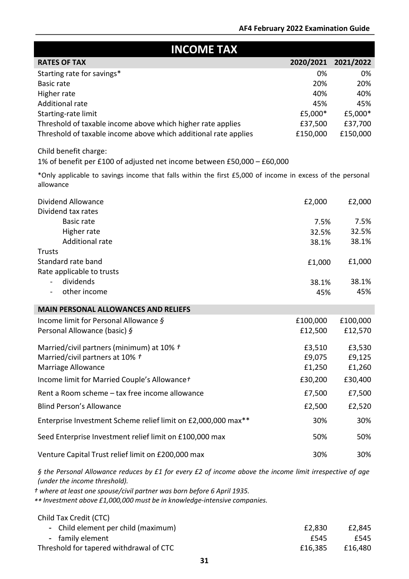| <b>INCOME TAX</b>                                                                                                                                  |           |           |  |
|----------------------------------------------------------------------------------------------------------------------------------------------------|-----------|-----------|--|
| <b>RATES OF TAX</b>                                                                                                                                | 2020/2021 | 2021/2022 |  |
| Starting rate for savings*                                                                                                                         | 0%        | 0%        |  |
| <b>Basic rate</b>                                                                                                                                  | 20%       | 20%       |  |
| Higher rate                                                                                                                                        | 40%       | 40%       |  |
| Additional rate                                                                                                                                    | 45%       | 45%       |  |
| Starting-rate limit                                                                                                                                | £5,000*   | £5,000*   |  |
| Threshold of taxable income above which higher rate applies                                                                                        | £37,500   | £37,700   |  |
| Threshold of taxable income above which additional rate applies                                                                                    | £150,000  | £150,000  |  |
| Child benefit charge:                                                                                                                              |           |           |  |
| 1% of benefit per £100 of adjusted net income between £50,000 - £60,000                                                                            |           |           |  |
| *Only applicable to savings income that falls within the first £5,000 of income in excess of the personal<br>allowance                             |           |           |  |
| Dividend Allowance                                                                                                                                 | £2,000    | £2,000    |  |
| Dividend tax rates<br><b>Basic rate</b>                                                                                                            | 7.5%      | 7.5%      |  |
| Higher rate                                                                                                                                        | 32.5%     | 32.5%     |  |
| <b>Additional rate</b>                                                                                                                             | 38.1%     | 38.1%     |  |
| <b>Trusts</b>                                                                                                                                      |           |           |  |
| Standard rate band                                                                                                                                 | £1,000    | £1,000    |  |
| Rate applicable to trusts                                                                                                                          |           |           |  |
| dividends<br>$\blacksquare$                                                                                                                        | 38.1%     | 38.1%     |  |
| other income                                                                                                                                       | 45%       | 45%       |  |
| <b>MAIN PERSONAL ALLOWANCES AND RELIEFS</b>                                                                                                        |           |           |  |
| Income limit for Personal Allowance $\delta$                                                                                                       | £100,000  | £100,000  |  |
| Personal Allowance (basic) §                                                                                                                       | £12,500   | £12,570   |  |
| Married/civil partners (minimum) at 10% $t$                                                                                                        | £3,510    | £3,530    |  |
| Married/civil partners at 10% t                                                                                                                    | £9,075    | £9,125    |  |
| <b>Marriage Allowance</b>                                                                                                                          | £1,250    | £1,260    |  |
| Income limit for Married Couple's Allowancet                                                                                                       | £30,200   | £30,400   |  |
| Rent a Room scheme - tax free income allowance                                                                                                     | £7,500    | £7,500    |  |
| <b>Blind Person's Allowance</b>                                                                                                                    | £2,500    | £2,520    |  |
| Enterprise Investment Scheme relief limit on £2,000,000 max**                                                                                      | 30%       | 30%       |  |
| Seed Enterprise Investment relief limit on £100,000 max                                                                                            | 50%       | 50%       |  |
| Venture Capital Trust relief limit on £200,000 max                                                                                                 | 30%       | 30%       |  |
| § the Personal Allowance reduces by £1 for every £2 of income above the income limit irrespective of age<br>(under the income threshold).          |           |           |  |
| t where at least one spouse/civil partner was born before 6 April 1935.<br>** Investment above £1,000,000 must be in knowledge intensive companies |           |           |  |

*\*\* Investment above £1,000,000 must be in knowledge-intensive companies.*

| Child Tax Credit (CTC)                  |         |         |
|-----------------------------------------|---------|---------|
| - Child element per child (maximum)     | £2.830  | £2,845  |
| - family element                        | f545    | £545    |
| Threshold for tapered withdrawal of CTC | £16.385 | £16,480 |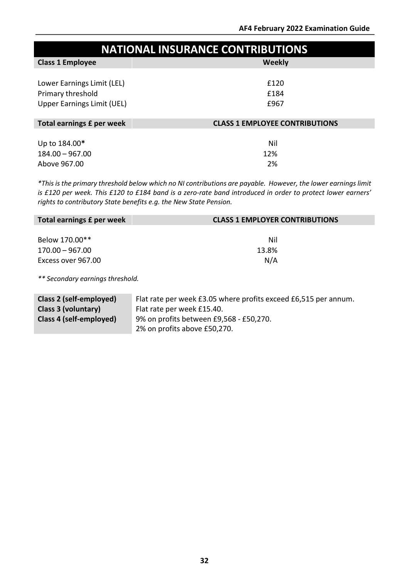| <b>NATIONAL INSURANCE CONTRIBUTIONS</b> |                                       |
|-----------------------------------------|---------------------------------------|
| <b>Class 1 Employee</b>                 | <b>Weekly</b>                         |
| Lower Earnings Limit (LEL)              | £120                                  |
| Primary threshold                       | £184                                  |
| <b>Upper Earnings Limit (UEL)</b>       | £967                                  |
| Total earnings £ per week               | <b>CLASS 1 EMPLOYEE CONTRIBUTIONS</b> |
| Up to 184.00*                           | Nil                                   |
| $184.00 - 967.00$                       | 12%                                   |
| Above 967.00                            | 2%                                    |

\*This is the primary threshold below which no NI contributions are payable. However, the lower earnings limit *is £120 per week. This £120 to £184 band is a zero-rate band introduced in order to protect lower earners' rights to contributory State benefits e.g. the New State Pension.*

| <b>CLASS 1 EMPLOYER CONTRIBUTIONS</b> |
|---------------------------------------|
|                                       |
| Nil                                   |
| 13.8%                                 |
| N/A                                   |
|                                       |
|                                       |

*\*\* Secondary earnings threshold.*

| Class 2 (self-employed) | Flat rate per week £3.05 where profits exceed £6,515 per annum. |
|-------------------------|-----------------------------------------------------------------|
| Class 3 (voluntary)     | Flat rate per week £15.40.                                      |
| Class 4 (self-employed) | 9% on profits between £9,568 - £50,270.                         |
|                         | 2% on profits above £50,270.                                    |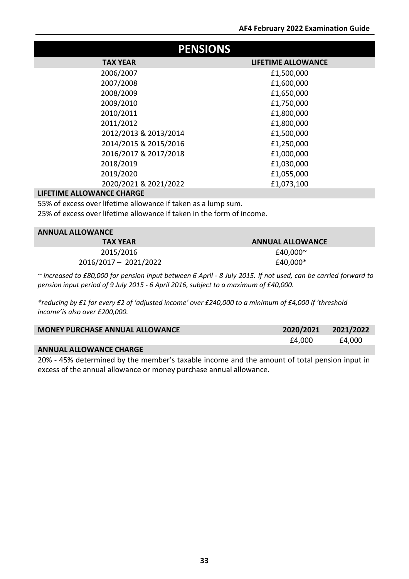| <b>PENSIONS</b>       |                           |  |  |
|-----------------------|---------------------------|--|--|
| <b>TAX YEAR</b>       | <b>LIFETIME ALLOWANCE</b> |  |  |
| 2006/2007             | £1,500,000                |  |  |
| 2007/2008             | £1,600,000                |  |  |
| 2008/2009             | £1,650,000                |  |  |
| 2009/2010             | £1,750,000                |  |  |
| 2010/2011             | £1,800,000                |  |  |
| 2011/2012             | £1,800,000                |  |  |
| 2012/2013 & 2013/2014 | £1,500,000                |  |  |
| 2014/2015 & 2015/2016 | £1,250,000                |  |  |
| 2016/2017 & 2017/2018 | £1,000,000                |  |  |
| 2018/2019             | £1,030,000                |  |  |
| 2019/2020             | £1,055,000                |  |  |
| 2020/2021 & 2021/2022 | £1,073,100                |  |  |

#### **LIFETIME ALLOWANCE CHARGE**

55% of excess over lifetime allowance if taken as a lump sum.

25% of excess over lifetime allowance if taken in the form of income.

| <b>ANNUAL ALLOWANCE</b> |                         |  |  |
|-------------------------|-------------------------|--|--|
| <b>TAX YEAR</b>         | <b>ANNUAL ALLOWANCE</b> |  |  |
| 2015/2016               | £40,000 $\sim$          |  |  |
| 2016/2017 - 2021/2022   | £40,000*                |  |  |

~ increased to £80,000 for pension input between 6 April - 8 July 2015. If not used, can be carried forward to *pension input period of 9 July 2015 - 6 April 2016, subject to a maximum of £40,000.*

*\*reducing by £1 for every £2 of 'adjusted income' over £240,000 to a minimum of £4,000 if 'threshold income'is also over £200,000.*

| <b>MONEY PURCHASE ANNUAL ALLOWANCE</b> | 2020/2021 | 2021/2022 |
|----------------------------------------|-----------|-----------|
|                                        | £4.000    | £4,000    |
| <b>ANNUAL ALLOWANCE CHARGE</b>         |           |           |

20% - 45% determined by the member's taxable income and the amount of total pension input in excess of the annual allowance or money purchase annual allowance.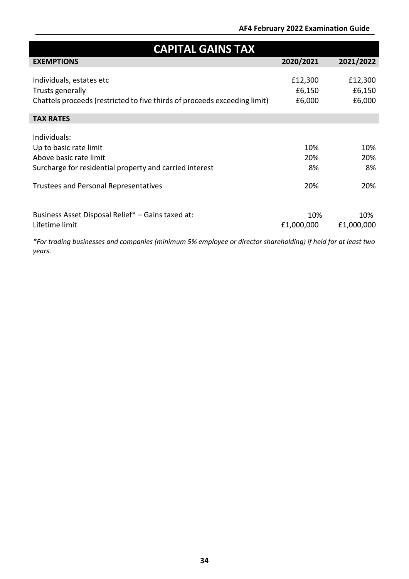## **AF4 February 2022 Examination Guide**

| <b>CAPITAL GAINS TAX</b>                                                  |            |            |  |  |
|---------------------------------------------------------------------------|------------|------------|--|--|
| <b>EXEMPTIONS</b>                                                         | 2020/2021  | 2021/2022  |  |  |
|                                                                           |            |            |  |  |
| Individuals, estates etc                                                  | £12,300    | £12,300    |  |  |
| Trusts generally                                                          | £6,150     | £6,150     |  |  |
| Chattels proceeds (restricted to five thirds of proceeds exceeding limit) | £6,000     | £6,000     |  |  |
|                                                                           |            |            |  |  |
| <b>TAX RATES</b>                                                          |            |            |  |  |
|                                                                           |            |            |  |  |
| Individuals:                                                              |            |            |  |  |
| Up to basic rate limit                                                    | 10%        | 10%        |  |  |
| Above basic rate limit                                                    | 20%        | 20%        |  |  |
| Surcharge for residential property and carried interest                   | 8%         | 8%         |  |  |
|                                                                           |            |            |  |  |
| <b>Trustees and Personal Representatives</b>                              | 20%        | 20%        |  |  |
|                                                                           |            |            |  |  |
|                                                                           |            |            |  |  |
| Business Asset Disposal Relief* - Gains taxed at:                         | 10%        | 10%        |  |  |
| Lifetime limit                                                            | £1,000,000 | £1,000,000 |  |  |

*\*For trading businesses and companies (minimum 5% employee or director shareholding) if held for at least two years.*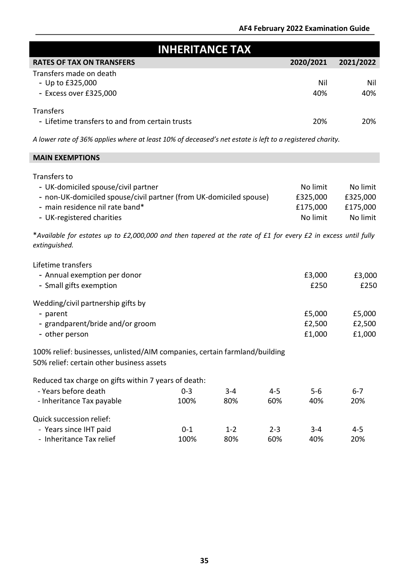| <b>INHERITANCE TAX</b>                                                                                                                                                                    |                 |                |                |                                              |                                              |
|-------------------------------------------------------------------------------------------------------------------------------------------------------------------------------------------|-----------------|----------------|----------------|----------------------------------------------|----------------------------------------------|
| <b>RATES OF TAX ON TRANSFERS</b>                                                                                                                                                          |                 |                |                | 2020/2021                                    | 2021/2022                                    |
| Transfers made on death<br>- Up to £325,000<br>- Excess over £325,000                                                                                                                     |                 |                |                | Nil<br>40%                                   | Nil<br>40%                                   |
| <b>Transfers</b><br>- Lifetime transfers to and from certain trusts                                                                                                                       |                 |                |                | 20%                                          | 20%                                          |
| A lower rate of 36% applies where at least 10% of deceased's net estate is left to a registered charity.                                                                                  |                 |                |                |                                              |                                              |
| <b>MAIN EXEMPTIONS</b>                                                                                                                                                                    |                 |                |                |                                              |                                              |
| Transfers to<br>- UK-domiciled spouse/civil partner<br>- non-UK-domiciled spouse/civil partner (from UK-domiciled spouse)<br>- main residence nil rate band*<br>- UK-registered charities |                 |                |                | No limit<br>£325,000<br>£175,000<br>No limit | No limit<br>£325,000<br>£175,000<br>No limit |
| *Available for estates up to £2,000,000 and then tapered at the rate of £1 for every £2 in excess until fully<br>extinguished.                                                            |                 |                |                |                                              |                                              |
| Lifetime transfers<br>- Annual exemption per donor<br>- Small gifts exemption                                                                                                             |                 |                |                | £3,000<br>£250                               | £3,000<br>£250                               |
| Wedding/civil partnership gifts by<br>- parent<br>- grandparent/bride and/or groom<br>- other person                                                                                      |                 |                |                | £5,000<br>£2,500<br>£1,000                   | £5,000<br>£2,500<br>£1,000                   |
| 100% relief: businesses, unlisted/AIM companies, certain farmland/building<br>50% relief: certain other business assets                                                                   |                 |                |                |                                              |                                              |
| Reduced tax charge on gifts within 7 years of death:<br>- Years before death<br>- Inheritance Tax payable                                                                                 | $0 - 3$<br>100% | $3 - 4$<br>80% | $4 - 5$<br>60% | $5 - 6$<br>40%                               | $6 - 7$<br>20%                               |
| Quick succession relief:<br>- Years since IHT paid<br>- Inheritance Tax relief                                                                                                            | $0 - 1$<br>100% | $1 - 2$<br>80% | $2 - 3$<br>60% | $3 - 4$<br>40%                               | $4 - 5$<br>20%                               |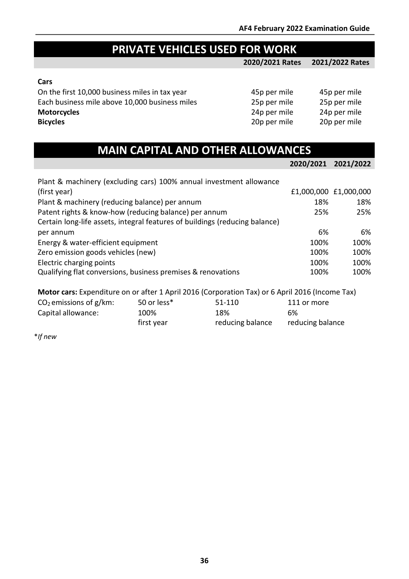# **PRIVATE VEHICLES USED FOR WORK**

**2020/2021 Rates 2021/2022 Rates**

#### **Cars**

On the first 10,000 business miles in tax year 45p per mile 45p per mile 45p per mile Each business mile above 10,000 business miles 25p per mile 25p per mile<br>
24p per mile 24p per mile<br>
24p per mile 24p per mile **Motorcycles**<br> **Bicycles**<br>
20p per mile 20p per mile<br>
20p per mile 20p per mile **Bicycles** 20p per mile 20p per mile

| 45p per mile | 45p per mi |
|--------------|------------|
| 25p per mile | 25p per mi |
| 24p per mile | 24p per mi |
| 20p per mile | 20p per mi |

|  |  | <b>MAIN CAPITAL AND OTHER ALLOWANCES</b> |
|--|--|------------------------------------------|
|  |  |                                          |
|  |  |                                          |

|                                                                             | 2020/2021 2021/2022 |                       |
|-----------------------------------------------------------------------------|---------------------|-----------------------|
| Plant & machinery (excluding cars) 100% annual investment allowance         |                     |                       |
| (first year)                                                                |                     | £1,000,000 £1,000,000 |
| Plant & machinery (reducing balance) per annum                              | 18%                 | 18%                   |
| Patent rights & know-how (reducing balance) per annum                       | 25%                 | 25%                   |
| Certain long-life assets, integral features of buildings (reducing balance) |                     |                       |
| per annum                                                                   | 6%                  | 6%                    |
| Energy & water-efficient equipment                                          | 100%                | 100%                  |
| Zero emission goods vehicles (new)                                          | 100%                | 100%                  |
| Electric charging points                                                    | 100%                | 100%                  |
| Qualifying flat conversions, business premises & renovations                | 100%                | 100%                  |

**Motor cars:** Expenditure on or after 1 April 2016 (Corporation Tax) or 6 April 2016 (Income Tax)

| $CO2$ emissions of g/km: | 50 or less* | 51-110           | 111 or more      |
|--------------------------|-------------|------------------|------------------|
| Capital allowance:       | 100%        | 18%              | 6%               |
|                          | first year  | reducing balance | reducing balance |

\**If new*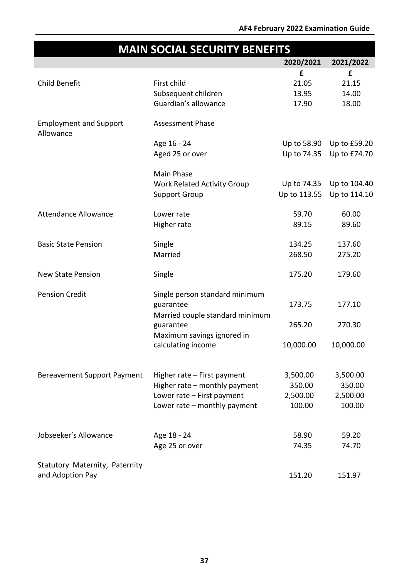|                                            | <b>MAIN SOCIAL SECURITY BENEFITS</b>         |              |              |
|--------------------------------------------|----------------------------------------------|--------------|--------------|
|                                            |                                              | 2020/2021    | 2021/2022    |
|                                            |                                              | £            | £            |
| Child Benefit                              | First child                                  | 21.05        | 21.15        |
|                                            | Subsequent children                          | 13.95        | 14.00        |
|                                            | Guardian's allowance                         | 17.90        | 18.00        |
| <b>Employment and Support</b><br>Allowance | <b>Assessment Phase</b>                      |              |              |
|                                            | Age 16 - 24                                  | Up to 58.90  | Up to £59.20 |
|                                            | Aged 25 or over                              | Up to 74.35  | Up to £74.70 |
|                                            | Main Phase                                   |              |              |
|                                            | <b>Work Related Activity Group</b>           | Up to 74.35  | Up to 104.40 |
|                                            | <b>Support Group</b>                         | Up to 113.55 | Up to 114.10 |
| <b>Attendance Allowance</b>                | Lower rate                                   | 59.70        | 60.00        |
|                                            | Higher rate                                  | 89.15        | 89.60        |
| <b>Basic State Pension</b>                 | Single                                       | 134.25       | 137.60       |
|                                            | Married                                      | 268.50       | 275.20       |
| <b>New State Pension</b>                   | Single                                       | 175.20       | 179.60       |
| <b>Pension Credit</b>                      | Single person standard minimum               |              |              |
|                                            | guarantee                                    | 173.75       | 177.10       |
|                                            | Married couple standard minimum<br>guarantee | 265.20       | 270.30       |
|                                            | Maximum savings ignored in                   |              |              |
|                                            | calculating income                           | 10,000.00    | 10,000.00    |
|                                            |                                              |              |              |
| <b>Bereavement Support Payment</b>         | Higher rate - First payment                  | 3,500.00     | 3,500.00     |
|                                            | Higher rate - monthly payment                | 350.00       | 350.00       |
|                                            | Lower rate - First payment                   | 2,500.00     | 2,500.00     |
|                                            | Lower rate - monthly payment                 | 100.00       | 100.00       |
|                                            |                                              |              |              |
| Jobseeker's Allowance                      | Age 18 - 24                                  | 58.90        | 59.20        |
|                                            | Age 25 or over                               | 74.35        | 74.70        |
| Statutory Maternity, Paternity             |                                              |              |              |
| and Adoption Pay                           |                                              | 151.20       | 151.97       |